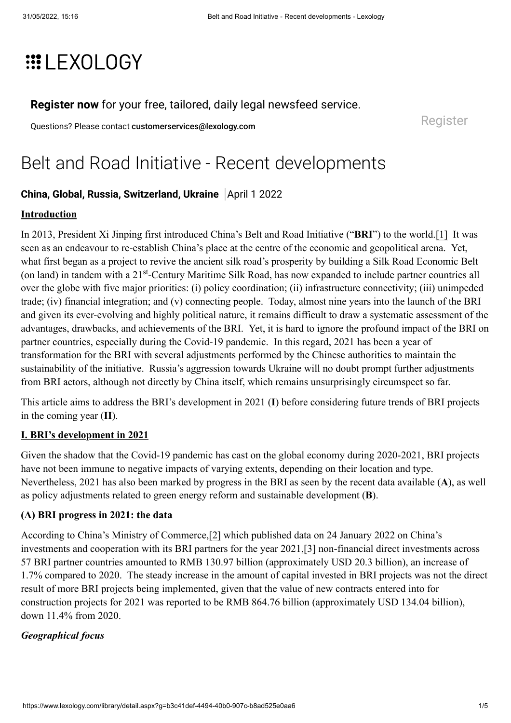# **EXOLOGY**

**[Register now](https://www.lexology.com/account/register.aspx?utm_campaign=register%20now%20to%20read%20this%20article&utm_source=www.lexology.com&utm_medium=article%20precis%20banner&returnurl=%2flibrary%2fdetail.aspx%3fg%3db3c41def-4494-40b0-907c-b8ad525e0aa6)** for your free, tailored, daily legal newsfeed service.

Questions? Please contact [customerservices@lexology.com](mailto:customerservices@lexology.com) example and a series of [Register](https://www.lexology.com/account/register.aspx?utm_campaign=register%20now%20to%20read%20this%20article&utm_source=www.lexology.com&utm_medium=article%20precis%20banner&returnurl=%2flibrary%2fdetail.aspx%3fg%3db3c41def-4494-40b0-907c-b8ad525e0aa6)

# Belt and Road Initiative - Recent developments

# **[China](https://www.lexology.com/hub/china), [Global,](https://www.lexology.com/hub/global) [Russia,](https://www.lexology.com/hub/russia) [Switzerland](https://www.lexology.com/hub/switzerland), [Ukraine](https://www.lexology.com/hub/ukraine)** April 1 2022

#### **Introduction**

In 2013, President Xi Jinping first introduced China's Belt and Road Initiative ("**BRI**") to the world.[\[1\]](https://d.docs.live.net/7203487638d3e196/Desktop/Fw__New_Article_for_publication/Belt%20and%20Road%20Initiative%20-%20Recent%20developments.docx#_ftn1) It was seen as an endeavour to re-establish China's place at the centre of the economic and geopolitical arena. Yet, what first began as a project to revive the ancient silk road's prosperity by building a Silk Road Economic Belt (on land) in tandem with a 21<sup>st</sup>-Century Maritime Silk Road, has now expanded to include partner countries all over the globe with five major priorities: (i) policy coordination; (ii) infrastructure connectivity; (iii) unimpeded trade; (iv) financial integration; and (v) connecting people. Today, almost nine years into the launch of the BRI and given its ever-evolving and highly political nature, it remains difficult to draw a systematic assessment of the advantages, drawbacks, and achievements of the BRI. Yet, it is hard to ignore the profound impact of the BRI on partner countries, especially during the Covid-19 pandemic. In this regard, 2021 has been a year of transformation for the BRI with several adjustments performed by the Chinese authorities to maintain the sustainability of the initiative. Russia's aggression towards Ukraine will no doubt prompt further adjustments from BRI actors, although not directly by China itself, which remains unsurprisingly circumspect so far.

This article aims to address the BRI's development in 2021 (**I**) before considering future trends of BRI projects in the coming year (**II**).

#### **I. BRI's development in 2021**

Given the shadow that the Covid-19 pandemic has cast on the global economy during 2020-2021, BRI projects have not been immune to negative impacts of varying extents, depending on their location and type. Nevertheless, 2021 has also been marked by progress in the BRI as seen by the recent data available (**A**), as well as policy adjustments related to green energy reform and sustainable development (**B**).

## **(A) BRI progress in 2021: the data**

According to China's Ministry of Commerce,[\[2\]](https://d.docs.live.net/7203487638d3e196/Desktop/Fw__New_Article_for_publication/Belt%20and%20Road%20Initiative%20-%20Recent%20developments.docx#_ftn2) which published data on 24 January 2022 on China's investments and cooperation with its BRI partners for the year 2021,[\[3\]](https://d.docs.live.net/7203487638d3e196/Desktop/Fw__New_Article_for_publication/Belt%20and%20Road%20Initiative%20-%20Recent%20developments.docx#_ftn3) non-financial direct investments across 57 BRI partner countries amounted to RMB 130.97 billion (approximately USD 20.3 billion), an increase of 1.7% compared to 2020. The steady increase in the amount of capital invested in BRI projects was not the direct result of more BRI projects being implemented, given that the value of new contracts entered into for construction projects for 2021 was reported to be RMB 864.76 billion (approximately USD 134.04 billion), down 11.4% from 2020.

## *Geographical focus*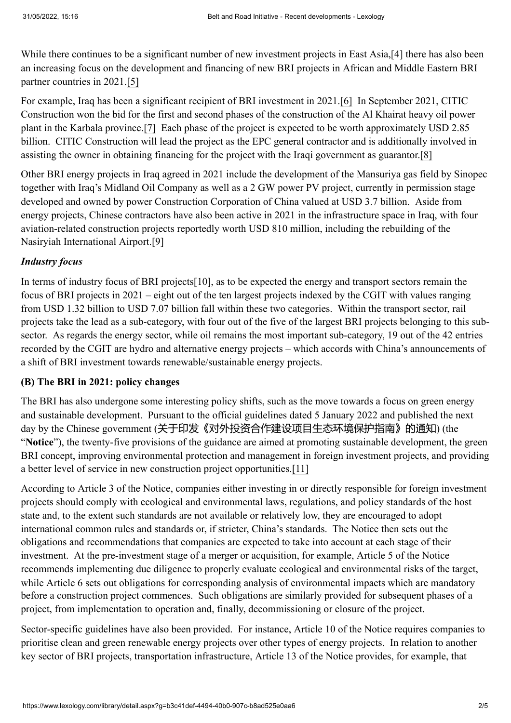While there continues to be a significant number of new investment projects in East Asia,[\[4\]](https://d.docs.live.net/7203487638d3e196/Desktop/Fw__New_Article_for_publication/Belt%20and%20Road%20Initiative%20-%20Recent%20developments.docx#_ftn4) there has also been an increasing focus on the development and financing of new BRI projects in African and Middle Eastern BRI partner countries in 2021[.\[5\]](https://d.docs.live.net/7203487638d3e196/Desktop/Fw__New_Article_for_publication/Belt%20and%20Road%20Initiative%20-%20Recent%20developments.docx#_ftn5)

For example, Iraq has been a significant recipient of BRI investment in 2021.[\[6\]](https://d.docs.live.net/7203487638d3e196/Desktop/Fw__New_Article_for_publication/Belt%20and%20Road%20Initiative%20-%20Recent%20developments.docx#_ftn6) In September 2021, CITIC Construction won the bid for the first and second phases of the construction of the Al Khairat heavy oil power plant in the Karbala province.[\[7\]](https://d.docs.live.net/7203487638d3e196/Desktop/Fw__New_Article_for_publication/Belt%20and%20Road%20Initiative%20-%20Recent%20developments.docx#_ftn7) Each phase of the project is expected to be worth approximately USD 2.85 billion. CITIC Construction will lead the project as the EPC general contractor and is additionally involved in assisting the owner in obtaining financing for the project with the Iraqi government as guarantor.[\[8\]](https://d.docs.live.net/7203487638d3e196/Desktop/Fw__New_Article_for_publication/Belt%20and%20Road%20Initiative%20-%20Recent%20developments.docx#_ftn8)

Other BRI energy projects in Iraq agreed in 2021 include the development of the Mansuriya gas field by Sinopec together with Iraq's Midland Oil Company as well as a 2 GW power PV project, currently in permission stage developed and owned by power Construction Corporation of China valued at USD 3.7 billion. Aside from energy projects, Chinese contractors have also been active in 2021 in the infrastructure space in Iraq, with four aviation-related construction projects reportedly worth USD 810 million, including the rebuilding of the Nasiryiah International Airport.[\[9\]](https://d.docs.live.net/7203487638d3e196/Desktop/Fw__New_Article_for_publication/Belt%20and%20Road%20Initiative%20-%20Recent%20developments.docx#_ftn9)

## *Industry focus*

In terms of industry focus of BRI project[s\[10\],](https://d.docs.live.net/7203487638d3e196/Desktop/Fw__New_Article_for_publication/Belt%20and%20Road%20Initiative%20-%20Recent%20developments.docx#_ftn10) as to be expected the energy and transport sectors remain the focus of BRI projects in 2021 – eight out of the ten largest projects indexed by the CGIT with values ranging from USD 1.32 billion to USD 7.07 billion fall within these two categories. Within the transport sector, rail projects take the lead as a sub-category, with four out of the five of the largest BRI projects belonging to this subsector. As regards the energy sector, while oil remains the most important sub-category, 19 out of the 42 entries recorded by the CGIT are hydro and alternative energy projects – which accords with China's announcements of a shift of BRI investment towards renewable/sustainable energy projects.

#### **(B) The BRI in 2021: policy changes**

The BRI has also undergone some interesting policy shifts, such as the move towards a focus on green energy and sustainable development. Pursuant to the official guidelines dated 5 January 2022 and published the next day by the Chinese government (关于印发《对外投资合作建设项目生态环境保护指南》的通知) (the "**Notice**"), the twenty-five provisions of the guidance are aimed at promoting sustainable development, the green BRI concept, improving environmental protection and management in foreign investment projects, and providing a better level of service in new construction project opportunities[.\[11\]](https://d.docs.live.net/7203487638d3e196/Desktop/Fw__New_Article_for_publication/Belt%20and%20Road%20Initiative%20-%20Recent%20developments.docx#_ftn11)

According to Article 3 of the Notice, companies either investing in or directly responsible for foreign investment projects should comply with ecological and environmental laws, regulations, and policy standards of the host state and, to the extent such standards are not available or relatively low, they are encouraged to adopt international common rules and standards or, if stricter, China's standards. The Notice then sets out the obligations and recommendations that companies are expected to take into account at each stage of their investment. At the pre-investment stage of a merger or acquisition, for example, Article 5 of the Notice recommends implementing due diligence to properly evaluate ecological and environmental risks of the target, while Article 6 sets out obligations for corresponding analysis of environmental impacts which are mandatory before a construction project commences. Such obligations are similarly provided for subsequent phases of a project, from implementation to operation and, finally, decommissioning or closure of the project.

Sector-specific guidelines have also been provided. For instance, Article 10 of the Notice requires companies to prioritise clean and green renewable energy projects over other types of energy projects. In relation to another key sector of BRI projects, transportation infrastructure, Article 13 of the Notice provides, for example, that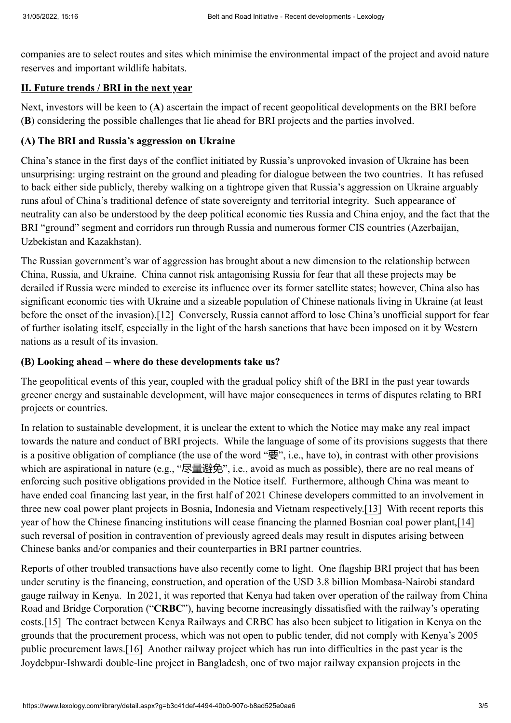companies are to select routes and sites which minimise the environmental impact of the project and avoid nature reserves and important wildlife habitats.

# **II. Future trends / BRI in the next year**

Next, investors will be keen to (**A**) ascertain the impact of recent geopolitical developments on the BRI before (**B**) considering the possible challenges that lie ahead for BRI projects and the parties involved.

#### **(A) The BRI and Russia's aggression on Ukraine**

China's stance in the first days of the conflict initiated by Russia's unprovoked invasion of Ukraine has been unsurprising: urging restraint on the ground and pleading for dialogue between the two countries. It has refused to back either side publicly, thereby walking on a tightrope given that Russia's aggression on Ukraine arguably runs afoul of China's traditional defence of state sovereignty and territorial integrity. Such appearance of neutrality can also be understood by the deep political economic ties Russia and China enjoy, and the fact that the BRI "ground" segment and corridors run through Russia and numerous former CIS countries (Azerbaijan, Uzbekistan and Kazakhstan).

The Russian government's war of aggression has brought about a new dimension to the relationship between China, Russia, and Ukraine. China cannot risk antagonising Russia for fear that all these projects may be derailed if Russia were minded to exercise its influence over its former satellite states; however, China also has significant economic ties with Ukraine and a sizeable population of Chinese nationals living in Ukraine (at least before the onset of the invasion).[\[12\]](https://d.docs.live.net/7203487638d3e196/Desktop/Fw__New_Article_for_publication/Belt%20and%20Road%20Initiative%20-%20Recent%20developments.docx#_ftn12) Conversely, Russia cannot afford to lose China's unofficial support for fear of further isolating itself, especially in the light of the harsh sanctions that have been imposed on it by Western nations as a result of its invasion.

#### **(B) Looking ahead – where do these developments take us?**

The geopolitical events of this year, coupled with the gradual policy shift of the BRI in the past year towards greener energy and sustainable development, will have major consequences in terms of disputes relating to BRI projects or countries.

In relation to sustainable development, it is unclear the extent to which the Notice may make any real impact towards the nature and conduct of BRI projects. While the language of some of its provisions suggests that there is a positive obligation of compliance (the use of the word " $\overline{\mathbf{\Xi}}$ ", i.e., have to), in contrast with other provisions which are aspirational in nature (e.g., "尽量避免", i.e., avoid as much as possible), there are no real means of enforcing such positive obligations provided in the Notice itself. Furthermore, although China was meant to have ended coal financing last year, in the first half of 2021 Chinese developers committed to an involvement in three new coal power plant projects in Bosnia, Indonesia and Vietnam respectively[.\[13\]](https://d.docs.live.net/7203487638d3e196/Desktop/Fw__New_Article_for_publication/Belt%20and%20Road%20Initiative%20-%20Recent%20developments.docx#_ftn13) With recent reports this year of how the Chinese financing institutions will cease financing the planned Bosnian coal power plant[,\[14\]](https://d.docs.live.net/7203487638d3e196/Desktop/Fw__New_Article_for_publication/Belt%20and%20Road%20Initiative%20-%20Recent%20developments.docx#_ftn14) such reversal of position in contravention of previously agreed deals may result in disputes arising between Chinese banks and/or companies and their counterparties in BRI partner countries.

Reports of other troubled transactions have also recently come to light. One flagship BRI project that has been under scrutiny is the financing, construction, and operation of the USD 3.8 billion Mombasa-Nairobi standard gauge railway in Kenya. In 2021, it was reported that Kenya had taken over operation of the railway from China Road and Bridge Corporation ("**CRBC**"), having become increasingly dissatisfied with the railway's operating costs[.\[15\]](https://d.docs.live.net/7203487638d3e196/Desktop/Fw__New_Article_for_publication/Belt%20and%20Road%20Initiative%20-%20Recent%20developments.docx#_ftn15) The contract between Kenya Railways and CRBC has also been subject to litigation in Kenya on the grounds that the procurement process, which was not open to public tender, did not comply with Kenya's 2005 public procurement laws.[\[16\]](https://d.docs.live.net/7203487638d3e196/Desktop/Fw__New_Article_for_publication/Belt%20and%20Road%20Initiative%20-%20Recent%20developments.docx#_ftn16) Another railway project which has run into difficulties in the past year is the Joydebpur-Ishwardi double-line project in Bangladesh, one of two major railway expansion projects in the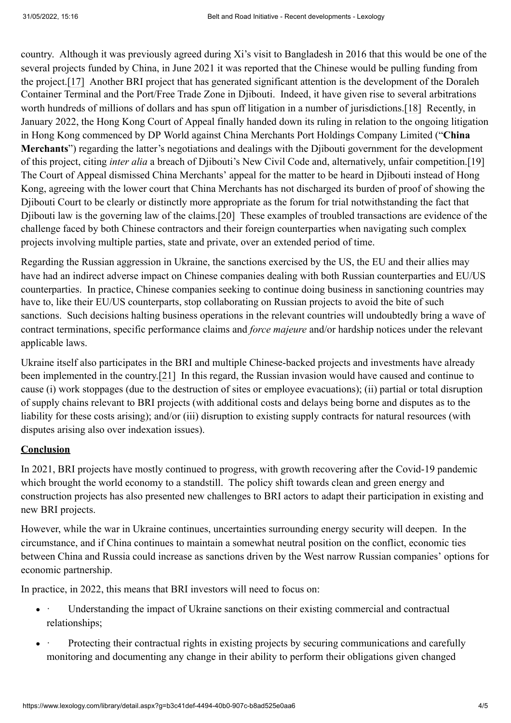country. Although it was previously agreed during Xi's visit to Bangladesh in 2016 that this would be one of the several projects funded by China, in June 2021 it was reported that the Chinese would be pulling funding from the project[.\[17\]](https://d.docs.live.net/7203487638d3e196/Desktop/Fw__New_Article_for_publication/Belt%20and%20Road%20Initiative%20-%20Recent%20developments.docx#_ftn17) Another BRI project that has generated significant attention is the development of the Doraleh Container Terminal and the Port/Free Trade Zone in Djibouti. Indeed, it have given rise to several arbitrations worth hundreds of millions of dollars and has spun off litigation in a number of jurisdictions.[\[18\]](https://d.docs.live.net/7203487638d3e196/Desktop/Fw__New_Article_for_publication/Belt%20and%20Road%20Initiative%20-%20Recent%20developments.docx#_ftn18) Recently, in January 2022, the Hong Kong Court of Appeal finally handed down its ruling in relation to the ongoing litigation in Hong Kong commenced by DP World against China Merchants Port Holdings Company Limited ("**China Merchants**") regarding the latter's negotiations and dealings with the Djibouti government for the development of this project, citing *inter alia* a breach of Djibouti's New Civil Code and, alternatively, unfair competition[.\[19\]](https://d.docs.live.net/7203487638d3e196/Desktop/Fw__New_Article_for_publication/Belt%20and%20Road%20Initiative%20-%20Recent%20developments.docx#_ftn19) The Court of Appeal dismissed China Merchants' appeal for the matter to be heard in Djibouti instead of Hong Kong, agreeing with the lower court that China Merchants has not discharged its burden of proof of showing the Djibouti Court to be clearly or distinctly more appropriate as the forum for trial notwithstanding the fact that Djibouti law is the governing law of the claims[.\[20\]](https://d.docs.live.net/7203487638d3e196/Desktop/Fw__New_Article_for_publication/Belt%20and%20Road%20Initiative%20-%20Recent%20developments.docx#_ftn20) These examples of troubled transactions are evidence of the challenge faced by both Chinese contractors and their foreign counterparties when navigating such complex projects involving multiple parties, state and private, over an extended period of time.

Regarding the Russian aggression in Ukraine, the sanctions exercised by the US, the EU and their allies may have had an indirect adverse impact on Chinese companies dealing with both Russian counterparties and EU/US counterparties. In practice, Chinese companies seeking to continue doing business in sanctioning countries may have to, like their EU/US counterparts, stop collaborating on Russian projects to avoid the bite of such sanctions. Such decisions halting business operations in the relevant countries will undoubtedly bring a wave of contract terminations, specific performance claims and *force majeure* and/or hardship notices under the relevant applicable laws.

Ukraine itself also participates in the BRI and multiple Chinese-backed projects and investments have already been implemented in the country.[\[21\]](https://d.docs.live.net/7203487638d3e196/Desktop/Fw__New_Article_for_publication/Belt%20and%20Road%20Initiative%20-%20Recent%20developments.docx#_ftn21) In this regard, the Russian invasion would have caused and continue to cause (i) work stoppages (due to the destruction of sites or employee evacuations); (ii) partial or total disruption of supply chains relevant to BRI projects (with additional costs and delays being borne and disputes as to the liability for these costs arising); and/or (iii) disruption to existing supply contracts for natural resources (with disputes arising also over indexation issues).

## **Conclusion**

In 2021, BRI projects have mostly continued to progress, with growth recovering after the Covid-19 pandemic which brought the world economy to a standstill. The policy shift towards clean and green energy and construction projects has also presented new challenges to BRI actors to adapt their participation in existing and new BRI projects.

However, while the war in Ukraine continues, uncertainties surrounding energy security will deepen. In the circumstance, and if China continues to maintain a somewhat neutral position on the conflict, economic ties between China and Russia could increase as sanctions driven by the West narrow Russian companies' options for economic partnership.

In practice, in 2022, this means that BRI investors will need to focus on:

- Understanding the impact of Ukraine sanctions on their existing commercial and contractual relationships;
- Protecting their contractual rights in existing projects by securing communications and carefully monitoring and documenting any change in their ability to perform their obligations given changed